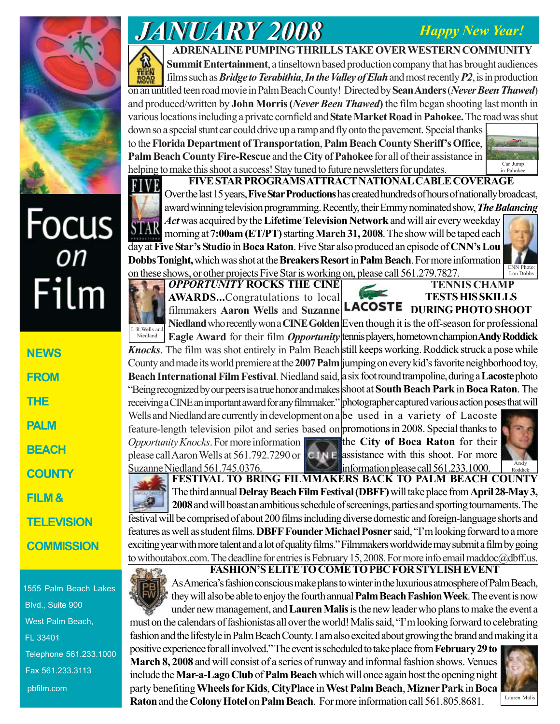## *Happy New Year!*



# Focus<br>
Film

| <b>NEWS</b>       |
|-------------------|
| EROM              |
| THE               |
| PALM              |
| BEACH             |
| <b>COUNTY</b>     |
| FILM &            |
| <b>TELEVISION</b> |
| <b>COMMISSION</b> |

1555 Palm Beach Lakes Blvd., Suite 900 West Palm Beach, FL 33401 Telephone 561.233.1000 Fax 561.233.3113 pbfilm.com

# *JANUARY 2008 JANUARY 2008*

## **ADRENALINE PUMPING THRILLS TAKE OVER WESTERN COMMUNITY**

**Summit Entertainment**, a tinseltown based production company that has brought audiences films such as *Bridge to Terabithia*, *In the Valley of Elah* and most recently *P2*, is in production on an untitled teen road movie in Palm Beach County! Directed by **Sean Anders** (*Never Been Thawed*) and produced/written by **John Morris(***Never Been Thawed***)** the film began shooting last month in various locations including a private cornfield and **State Market Road** in **Pahokee.** The road was shut down so a special stunt car could drive up a ramp and fly onto the pavement. Special thanks to the **Florida Department of Transportation**, **Palm Beach County Sheriff's Office**, **Palm Beach County Fire-Rescue** and the **City of Pahokee** for all of their assistance in

**FIVE STAR PROGRAMS ATTRACT NATIONAL CABLE COVERAGE** Over the last 15 years, **Five Star Productions** has created hundreds of hours of nationally broadcast, award winning television programming. Recently, their Emmy nominated show, *The Balancing*

*Act* was acquired by the **Lifetime Television Network** and will air every weekday morning at **7:00am(ET/PT)** starting **March 31, 2008**. The show will be taped each

helping to make this shoot a success! Stay tuned to future newsletters for updates. EIVE **STAR** day at **Five Star's Studio** in **Boca Raton**. Five Star also produced an episode of **CNN's Lou Dobbs Tonight,** which was shot at the **Breakers Resort** in **Palm Beach**. For more information



*OPPORTUNITY* **ROCKS THE CINE AWARDS...**Congratulations to local filmmakers **Aaron Wells** and **Suzanne** on these shows, or other projects Five Star is working on, please call 561.279.7827.

*Opportunity Knocks*. For more information please call Aaron Wells at 561.792.7290 or **TENNIS CHAMP**

**TESTS HIS SKILLS** LACOSTE DURING PHOTO SHOOT

**Niedland** who recently won a **CINE Golden** Even though it is the off-season for professional **Eagle Award** for their film *Opportunity* tennis players, hometown champion **Andy Roddick** Knocks. The film was shot entirely in Palm Beach still keeps working. Roddick struck a pose while County and made its world premiere at the **2007 Palm** jumping on every kid's favorite neighborhood toy, **Beach International Film Festival**. Niedland said, a six foot round trampoline, during a **Lacoste** photo "Being recognized by our peers is a true honor and makes shoot at **South Beach Park** in **Boca Raton**. The receiving a CINE an important award for any filmmaker." photographer captured various action poses that will Wells and Niedland are currently in development on a be used in a variety of Lacoste Niedland

feature-length television pilot and series based on promotions in 2008. Special thanks to the **City of Boca Raton** for their  $CINE$  assistance with this shoot. For more information please call 561.233.1000.



in Pahoke

Lou Dobbs

**FESTIVAL TO BRING FILMMAKERS BACK TO PALM BEACH COUNTY** The third annual **Delray Beach Film Festival (DBFF)** will take place from **April 28-May 3, 2008** and will boast an ambitious schedule of screenings, parties and sporting tournaments. The festival will be comprised of about 200 films including diverse domestic and foreign-language shorts and features as well as student films. **DBFF Founder Michael Posner** said, "I'm looking forward to a more exciting year with more talent and a lot of quality films." Filmmakers worldwide may submit a film by going to withoutabox.com. The deadline for entries is February 15, 2008. For more info email maddoc@dbff.us. Suzanne Niedland 561.745.0376.



**FASHION'S ELITE TO COME TO PBC FOR STYLISH EVENT** As America's fashion conscious make plans to winter in the luxurious atmosphere of Palm Beach,

they will also be able to enjoy the fourth annual **Palm Beach Fashion Week**. The event is now under new management, and **Lauren Malis** is the new leader who plans to make the event a must on the calendars of fashionistas all over the world! Malis said, "I'm looking forward to celebrating fashion and the lifestyle in Palm Beach County. I am also excited about growing the brand and making it a

positive experience for all involved." The event is scheduled to take place from **February 29 to March 8, 2008** and will consist of a series of runway and informal fashion shows. Venues include the **Mar-a-LagoClub** of **Palm Beach** which will once again host the opening night party benefiting **Wheels for Kids**, **CityPlace** in **West Palm Beach**, **Mizner Park** in **Boca Raton** and the **Colony Hotel** on **Palm Beach**. For more information call 561.805.8681.